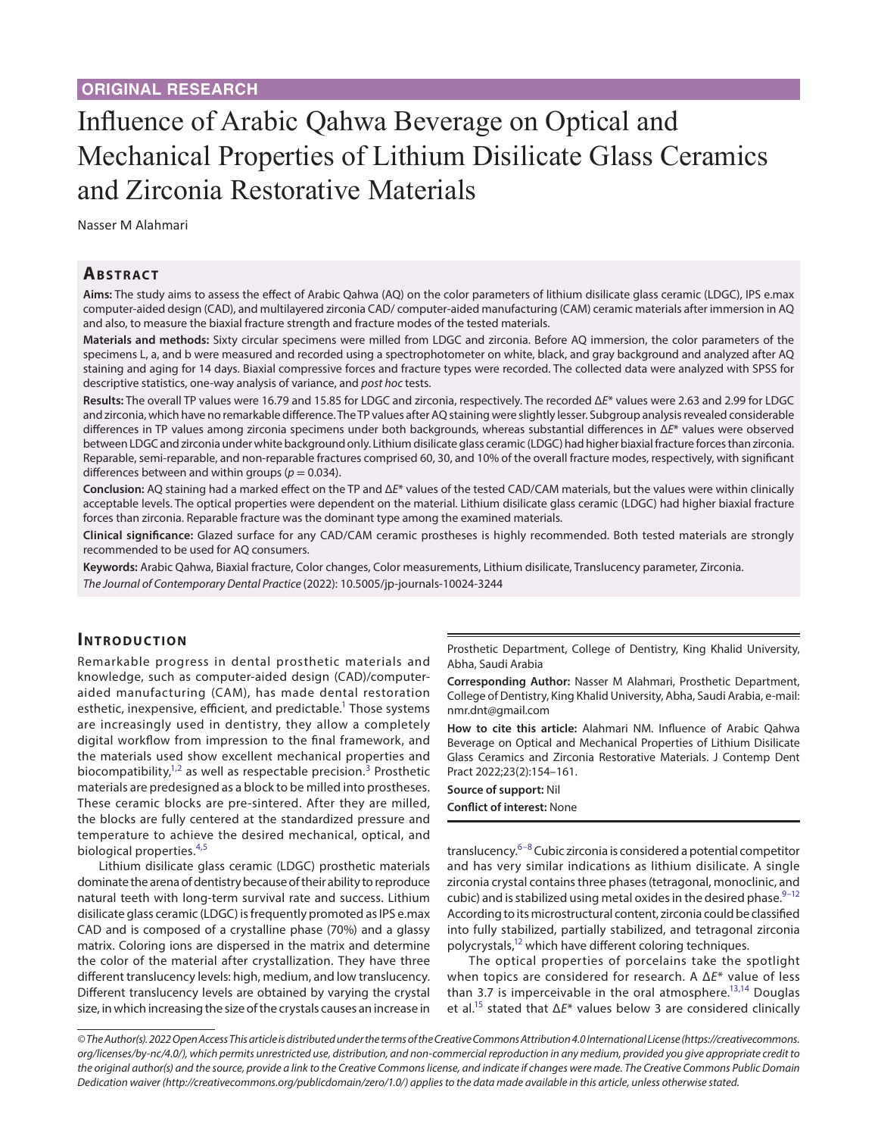# Influence of Arabic Qahwa Beverage on Optical and Mechanical Properties of Lithium Disilicate Glass Ceramics and Zirconia Restorative Materials

Nasser M Alahmari

# **ABSTRACT**

**Aims:** The study aims to assess the effect of Arabic Qahwa (AQ) on the color parameters of lithium disilicate glass ceramic (LDGC), IPS e.max computer-aided design (CAD), and multilayered zirconia CAD/ computer-aided manufacturing (CAM) ceramic materials after immersion in AQ and also, to measure the biaxial fracture strength and fracture modes of the tested materials.

**Materials and methods:** Sixty circular specimens were milled from LDGC and zirconia. Before AQ immersion, the color parameters of the specimens L, a, and b were measured and recorded using a spectrophotometer on white, black, and gray background and analyzed after AQ staining and aging for 14 days. Biaxial compressive forces and fracture types were recorded. The collected data were analyzed with SPSS for descriptive statistics, one-way analysis of variance, and *post hoc* tests.

**Results:** The overall TP values were 16.79 and 15.85 for LDGC and zirconia, respectively. The recorded Δ*E*\* values were 2.63 and 2.99 for LDGC and zirconia, which have no remarkable difference. The TP values after AQ staining were slightly lesser. Subgroup analysis revealed considerable differences in TP values among zirconia specimens under both backgrounds, whereas substantial differences in Δ*E*\* values were observed between LDGC and zirconia under white background only. Lithium disilicate glass ceramic (LDGC) had higher biaxial fracture forces than zirconia. Reparable, semi-reparable, and non-reparable fractures comprised 60, 30, and 10% of the overall fracture modes, respectively, with significant differences between and within groups ( $p = 0.034$ ).

**Conclusion:** AQ staining had a marked effect on the TP and Δ*E*\* values of the tested CAD/CAM materials, but the values were within clinically acceptable levels. The optical properties were dependent on the material. Lithium disilicate glass ceramic (LDGC) had higher biaxial fracture forces than zirconia. Reparable fracture was the dominant type among the examined materials.

**Clinical significance:** Glazed surface for any CAD/CAM ceramic prostheses is highly recommended. Both tested materials are strongly recommended to be used for AQ consumers.

**Keywords:** Arabic Qahwa, Biaxial fracture, Color changes, Color measurements, Lithium disilicate, Translucency parameter, Zirconia. *The Journal of Contemporary Dental Practice* (2022): 10.5005/jp-journals-10024-3244

# **INTRODUCTION**

Remarkable progress in dental prosthetic materials and knowledge, such as computer-aided design (CAD)/computeraided manufacturing (CAM), has made dental restoration esthetic, inexpensive, efficient, and predictable.<sup>1</sup> Those systems are increasingly used in dentistry, they allow a completely digital workflow from impression to the final framework, and the materials used show excellent mechanical properties and biocompatibility,<sup>1,[2](#page-6-1)</sup> as well as respectable precision.<sup>[3](#page-6-2)</sup> Prosthetic materials are predesigned as a block to be milled into prostheses. These ceramic blocks are pre-sintered. After they are milled, the blocks are fully centered at the standardized pressure and temperature to achieve the desired mechanical, optical, and biological properties.<sup>[4](#page-6-3),[5](#page-6-4)</sup>

Lithium disilicate glass ceramic (LDGC) prosthetic materials dominate the arena of dentistry because of their ability to reproduce natural teeth with long-term survival rate and success. Lithium disilicate glass ceramic (LDGC) is frequently promoted as IPS e.max CAD and is composed of a crystalline phase (70%) and a glassy matrix. Coloring ions are dispersed in the matrix and determine the color of the material after crystallization. They have three different translucency levels: high, medium, and low translucency. Different translucency levels are obtained by varying the crystal size, in which increasing the size of the crystals causes an increase in

Prosthetic Department, College of Dentistry, King Khalid University, Abha, Saudi Arabia

**Corresponding Author:** Nasser M Alahmari, Prosthetic Department, College of Dentistry, King Khalid University, Abha, Saudi Arabia, e-mail: nmr.dnt@gmail.com

**How to cite this article:** Alahmari NM. Influence of Arabic Qahwa Beverage on Optical and Mechanical Properties of Lithium Disilicate Glass Ceramics and Zirconia Restorative Materials. J Contemp Dent Pract 2022;23(2):154–161.

**Source of support:** Nil **Conflict of interest:** None

translucency.<sup>[6–](#page-6-5)[8](#page-7-0)</sup> Cubic zirconia is considered a potential competitor and has very similar indications as lithium disilicate. A single zirconia crystal contains three phases (tetragonal, monoclinic, and cubic) and is stabilized using metal oxides in the desired phase. $9-12$ According to its microstructural content, zirconia could be classified into fully stabilized, partially stabilized, and tetragonal zirconia polycrystals[,12](#page-7-2) which have different coloring techniques.

The optical properties of porcelains take the spotlight when topics are considered for research. A Δ*E*\* value of less than 3.7 is imperceivable in the oral atmosphere.<sup>13,14</sup> Douglas et al[.15](#page-7-5) stated that Δ*E*\* values below 3 are considered clinically

*<sup>©</sup> The Author(s). 2022 Open Access This article is distributed under the terms of the Creative Commons Attribution 4.0 International License ([https://creativecommons.](https://creativecommons. org/licenses/by-nc/4.0/)  [org/licenses/by-nc/4.0/](https://creativecommons. org/licenses/by-nc/4.0/)), which permits unrestricted use, distribution, and non-commercial reproduction in any medium, provided you give appropriate credit to the original author(s) and the source, provide a link to the Creative Commons license, and indicate if changes were made. The Creative Commons Public Domain Dedication waiver ([http://creativecommons.org/publicdomain/zero/1.0/\)](http://creativecommons.org/publicdomain/zero/1.0/) applies to the data made available in this article, unless otherwise stated.*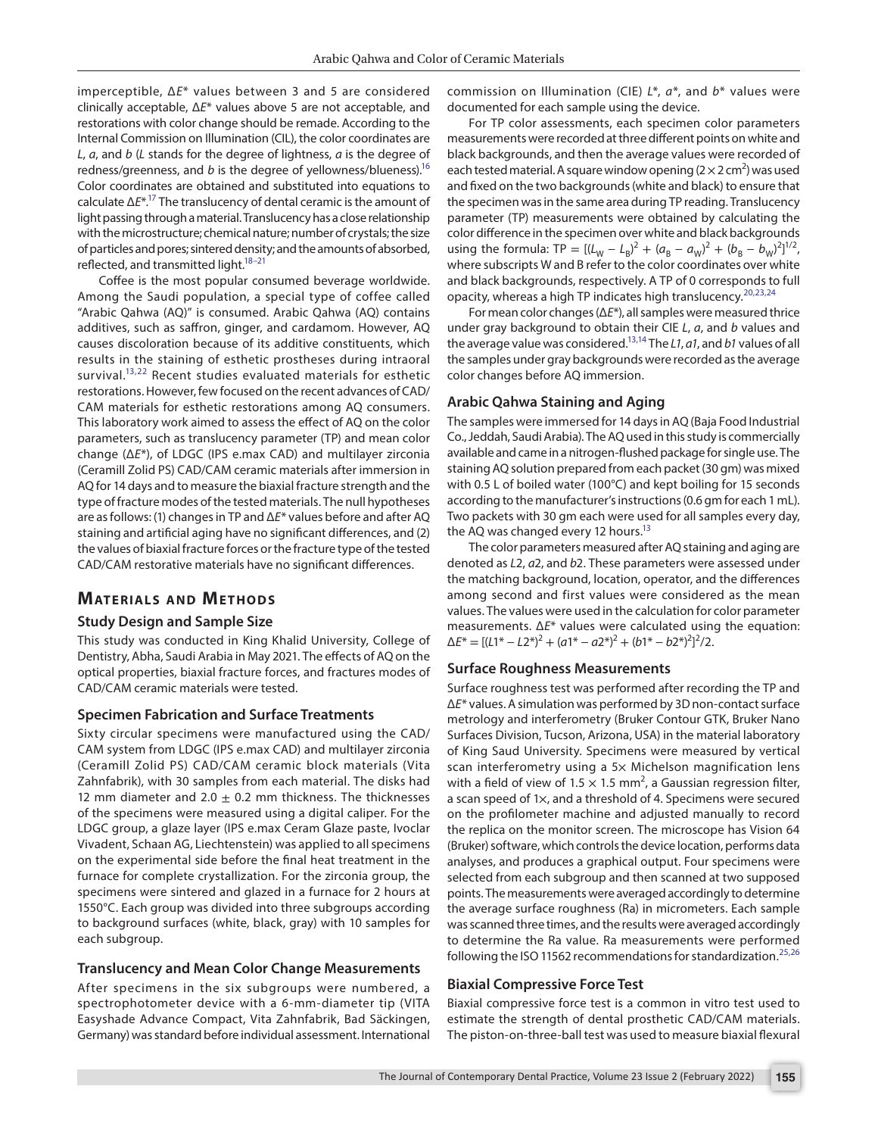imperceptible, Δ*E*\* values between 3 and 5 are considered clinically acceptable, Δ*E*\* values above 5 are not acceptable, and restorations with color change should be remade. According to the Internal Commission on Illumination (CIL), the color coordinates are *L*, *a*, and *b* (*L* stands for the degree of lightness, *a* is the degree of redness/greenness, and *b* is the degree of yellowness/blueness).<sup>16</sup> Color coordinates are obtained and substituted into equations to calculate Δ*E*\*[.17](#page-7-7) The translucency of dental ceramic is the amount of light passing through a material. Translucency has a close relationship with the microstructure; chemical nature; number of crystals; the size of particles and pores; sintered density; and the amounts of absorbed, reflected, and transmitted light.<sup>18-21</sup>

Coffee is the most popular consumed beverage worldwide. Among the Saudi population, a special type of coffee called "Arabic Qahwa (AQ)" is consumed. Arabic Qahwa (AQ) contains additives, such as saffron, ginger, and cardamom. However, AQ causes discoloration because of its additive constituents, which results in the staining of esthetic prostheses during intraoral survival.<sup>13,22</sup> Recent studies evaluated materials for esthetic restorations. However, few focused on the recent advances of CAD/ CAM materials for esthetic restorations among AQ consumers. This laboratory work aimed to assess the effect of AQ on the color parameters, such as translucency parameter (TP) and mean color change (Δ*E*\*), of LDGC (IPS e.max CAD) and multilayer zirconia (Ceramill Zolid PS) CAD/CAM ceramic materials after immersion in AQ for 14 days and to measure the biaxial fracture strength and the type of fracture modes of the tested materials. The null hypotheses are as follows: (1) changes in TP and Δ*E*\* values before and after AQ staining and artificial aging have no significant differences, and (2) the values of biaxial fracture forces or the fracture type of the tested CAD/CAM restorative materials have no significant differences.

# **MATERIALS AND METHODS**

#### **Study Design and Sample Size**

This study was conducted in King Khalid University, College of Dentistry, Abha, Saudi Arabia in May 2021. The effects of AQ on the optical properties, biaxial fracture forces, and fractures modes of CAD/CAM ceramic materials were tested.

#### **Specimen Fabrication and Surface Treatments**

Sixty circular specimens were manufactured using the CAD/ CAM system from LDGC (IPS e.max CAD) and multilayer zirconia (Ceramill Zolid PS) CAD/CAM ceramic block materials (Vita Zahnfabrik), with 30 samples from each material. The disks had 12 mm diameter and 2.0  $\pm$  0.2 mm thickness. The thicknesses of the specimens were measured using a digital caliper. For the LDGC group, a glaze layer (IPS e.max Ceram Glaze paste, Ivoclar Vivadent, Schaan AG, Liechtenstein) was applied to all specimens on the experimental side before the final heat treatment in the furnace for complete crystallization. For the zirconia group, the specimens were sintered and glazed in a furnace for 2 hours at 1550°C. Each group was divided into three subgroups according to background surfaces (white, black, gray) with 10 samples for each subgroup.

#### **Translucency and Mean Color Change Measurements**

After specimens in the six subgroups were numbered, a spectrophotometer device with a 6-mm-diameter tip (VITA Easyshade Advance Compact, Vita Zahnfabrik, Bad Säckingen, Germany) was standard before individual assessment. International commission on Illumination (CIE) *L*\*, *a*\*, and *b*\* values were documented for each sample using the device.

For TP color assessments, each specimen color parameters measurements were recorded at three different points on white and black backgrounds, and then the average values were recorded of each tested material. A square window opening (2  $\times$  2 cm<sup>2</sup>) was used and fixed on the two backgrounds (white and black) to ensure that the specimen was in the same area during TP reading. Translucency parameter (TP) measurements were obtained by calculating the color difference in the specimen over white and black backgrounds using the formula:  $TP = [(L_W - L_B)^2 + (a_B - a_W)^2 + (b_B - b_W)^2]^{1/2}$ , where subscripts W and B refer to the color coordinates over white and black backgrounds, respectively. A TP of 0 corresponds to full opacity, whereas a high TP indicates high translucency.<sup>[20](#page-7-11),[23](#page-7-12),[24](#page-7-13)</sup>

For mean color changes (Δ*E*\*), all samples were measured thrice under gray background to obtain their CIE *L*, *a*, and *b* values and the average value was considered[.13,](#page-7-3)[14](#page-7-4) The *L1*, *a1*, and *b1* values of all the samples under gray backgrounds were recorded as the average color changes before AQ immersion.

#### **Arabic Qahwa Staining and Aging**

The samples were immersed for 14 days in AQ (Baja Food Industrial Co., Jeddah, Saudi Arabia). The AQ used in this study is commercially available and came in a nitrogen-flushed package for single use. The staining AQ solution prepared from each packet (30 gm) was mixed with 0.5 L of boiled water (100°C) and kept boiling for 15 seconds according to the manufacturer's instructions (0.6 gm for each 1 mL). Two packets with 30 gm each were used for all samples every day, the AQ was changed every 12 hours.<sup>13</sup>

The color parameters measured after AQ staining and aging are denoted as *L*2, *a*2, and *b*2. These parameters were assessed under the matching background, location, operator, and the differences among second and first values were considered as the mean values. The values were used in the calculation for color parameter measurements. Δ*E*\* values were calculated using the equation:  $\Delta E^* = \frac{[(L1^* - L2^*)^2 + (a1^* - a2^*)^2 + (b1^* - b2^*)^2]^2}{2}.$ 

#### **Surface Roughness Measurements**

Surface roughness test was performed after recording the TP and Δ*E*\* values. A simulation was performed by 3D non-contact surface metrology and interferometry (Bruker Contour GTK, Bruker Nano Surfaces Division, Tucson, Arizona, USA) in the material laboratory of King Saud University. Specimens were measured by vertical scan interferometry using a 5x Michelson magnification lens with a field of view of  $1.5 \times 1.5$  mm<sup>2</sup>, a Gaussian regression filter, a scan speed of 1×, and a threshold of 4. Specimens were secured on the profilometer machine and adjusted manually to record the replica on the monitor screen. The microscope has Vision 64 (Bruker) software, which controls the device location, performs data analyses, and produces a graphical output. Four specimens were selected from each subgroup and then scanned at two supposed points. The measurements were averaged accordingly to determine the average surface roughness (Ra) in micrometers. Each sample was scanned three times, and the results were averaged accordingly to determine the Ra value. Ra measurements were performed following the ISO 11562 recommendations for standardization.<sup>[25](#page-7-14),[26](#page-7-15)</sup>

#### **Biaxial Compressive Force Test**

Biaxial compressive force test is a common in vitro test used to estimate the strength of dental prosthetic CAD/CAM materials. The piston-on-three-ball test was used to measure biaxial flexural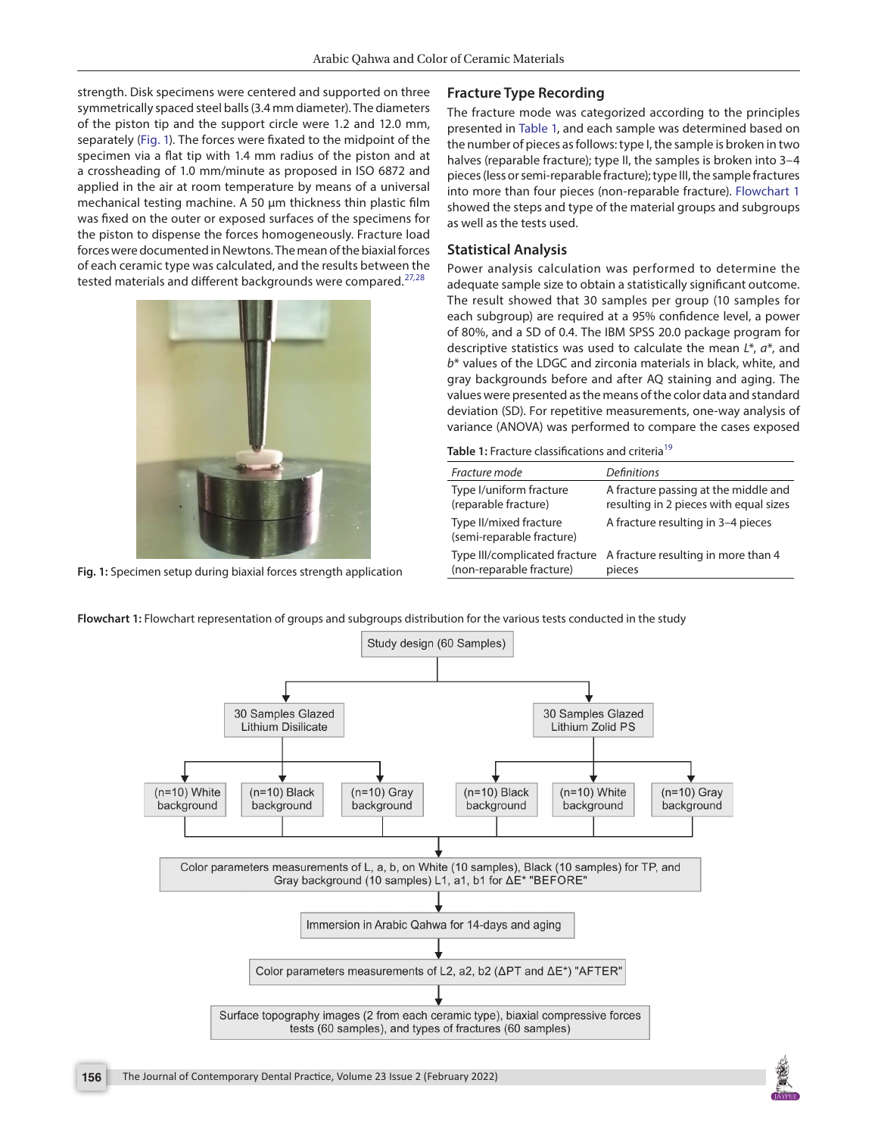strength. Disk specimens were centered and supported on three symmetrically spaced steel balls (3.4 mm diameter). The diameters of the piston tip and the support circle were 1.2 and 12.0 mm, separately [\(Fig. 1\)](#page-2-0). The forces were fixated to the midpoint of the specimen via a flat tip with 1.4 mm radius of the piston and at a crossheading of 1.0 mm/minute as proposed in ISO 6872 and applied in the air at room temperature by means of a universal mechanical testing machine. A 50 μm thickness thin plastic film was fixed on the outer or exposed surfaces of the specimens for the piston to dispense the forces homogeneously. Fracture load forces were documented in Newtons. The mean of the biaxial forces of each ceramic type was calculated, and the results between the tested materials and different backgrounds were compared.<sup>[27](#page-7-16),[28](#page-7-17)</sup>



**Fig. 1:** Specimen setup during biaxial forces strength application

#### **Fracture Type Recording**

The fracture mode was categorized according to the principles presented in [Table 1,](#page-2-1) and each sample was determined based on the number of pieces as follows: type I, the sample is broken in two halves (reparable fracture); type II, the samples is broken into 3-4 pieces (less or semi-reparable fracture); type III, the sample fractures into more than four pieces (non-reparable fracture). [Flowchart 1](#page-2-2) showed the steps and type of the material groups and subgroups as well as the tests used.

#### **Statistical Analysis**

Power analysis calculation was performed to determine the adequate sample size to obtain a statistically significant outcome. The result showed that 30 samples per group (10 samples for each subgroup) are required at a 95% confidence level, a power of 80%, and a SD of 0.4. The IBM SPSS 20.0 package program for descriptive statistics was used to calculate the mean *L*\*, *a*\*, and *b*\* values of the LDGC and zirconia materials in black, white, and gray backgrounds before and after AQ staining and aging. The values were presented as the means of the color data and standard deviation (SD). For repetitive measurements, one-way analysis of variance (ANOVA) was performed to compare the cases exposed

<span id="page-2-1"></span>Table 1: Fracture classifications and criteria<sup>19</sup>

| <b>Definitions</b>                                                             |
|--------------------------------------------------------------------------------|
| A fracture passing at the middle and<br>resulting in 2 pieces with equal sizes |
| A fracture resulting in 3-4 pieces                                             |
| A fracture resulting in more than 4<br>pieces                                  |
| Type III/complicated fracture                                                  |

<span id="page-2-2"></span><span id="page-2-0"></span>**Flowchart 1:** Flowchart representation of groups and subgroups distribution for the various tests conducted in the study



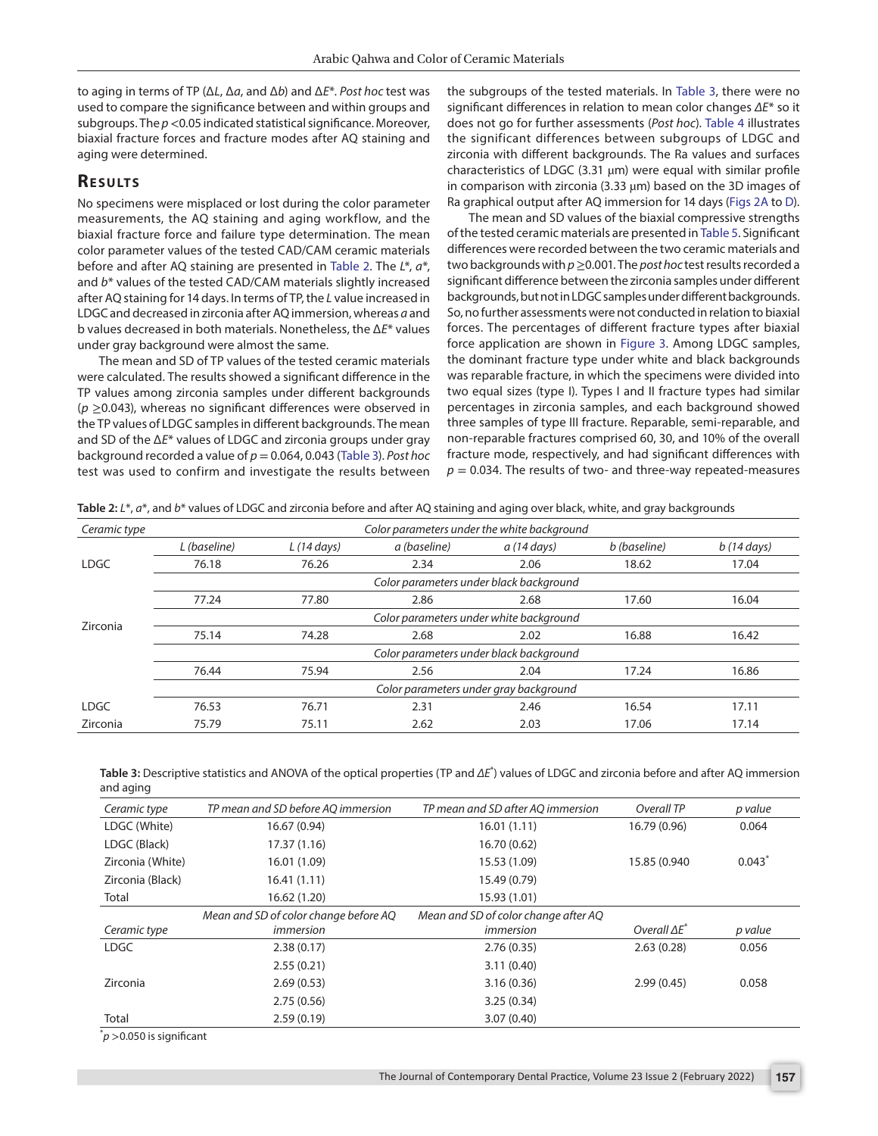to aging in terms of TP (Δ*L*, Δ*a*, and Δ*b*) and Δ*E*\*. *Post hoc* test was used to compare the significance between and within groups and subgroups. The  $p < 0.05$  indicated statistical significance. Moreover, biaxial fracture forces and fracture modes after AQ staining and aging were determined.

# **RESULTS**

No specimens were misplaced or lost during the color parameter measurements, the AQ staining and aging workflow, and the biaxial fracture force and failure type determination. The mean color parameter values of the tested CAD/CAM ceramic materials before and after AQ staining are presented in [Table 2.](#page-3-0) The *L*\*, *a*\*, and *b*\* values of the tested CAD/CAM materials slightly increased after AQ staining for 14 days. In terms of TP, the *L* value increased in LDGC and decreased in zirconia after AQ immersion, whereas *a* and b values decreased in both materials. Nonetheless, the Δ*E*\* values under gray background were almost the same.

The mean and SD of TP values of the tested ceramic materials were calculated. The results showed a significant difference in the TP values among zirconia samples under different backgrounds (*p* ≥0.043), whereas no significant differences were observed in the TP values of LDGC samples in different backgrounds. The mean and SD of the Δ*E*\* values of LDGC and zirconia groups under gray background recorded a value of *p* = 0.064, 0.043 ([Table 3\)](#page-3-1). *Post hoc*  test was used to confirm and investigate the results between

the subgroups of the tested materials. In [Table 3](#page-3-1), there were no significant differences in relation to mean color changes *ΔE*\* so it does not go for further assessments (*Post hoc*). [Table 4](#page-4-0) illustrates the significant differences between subgroups of LDGC and zirconia with different backgrounds. The Ra values and surfaces characteristics of LDGC (3.31 µm) were equal with similar profile in comparison with zirconia (3.33  $\mu$ m) based on the 3D images of Ra graphical output after AQ immersion for 14 days ([Figs 2A](#page-4-1) to [D\)](#page-4-1).

The mean and SD values of the biaxial compressive strengths of the tested ceramic materials are presented in [Table 5.](#page-5-0) Significant differences were recorded between the two ceramic materials and two backgrounds with *p*≥0.001. The *post hoc* test results recorded a significant difference between the zirconia samples under different backgrounds, but not in LDGC samples under different backgrounds. So, no further assessments were not conducted in relation to biaxial forces. The percentages of different fracture types after biaxial force application are shown in [Figure 3](#page-5-1). Among LDGC samples, the dominant fracture type under white and black backgrounds was reparable fracture, in which the specimens were divided into two equal sizes (type I). Types I and II fracture types had similar percentages in zirconia samples, and each background showed three samples of type III fracture. Reparable, semi-reparable, and non-reparable fractures comprised 60, 30, and 10% of the overall fracture mode, respectively, and had significant differences with  $p = 0.034$ . The results of two- and three-way repeated-measures

<span id="page-3-0"></span>Table 2: L<sup>\*</sup>,  $a^*$ , and  $b^*$  values of LDGC and zirconia before and after AQ staining and aging over black, white, and gray backgrounds

| Ceramic type | Color parameters under the white background |                                         |              |                      |              |                      |  |  |
|--------------|---------------------------------------------|-----------------------------------------|--------------|----------------------|--------------|----------------------|--|--|
|              | L (baseline)                                | $L(14 \text{ days})$                    | a (baseline) | $a(14 \text{ days})$ | b (baseline) | $b(14 \text{ days})$ |  |  |
| <b>LDGC</b>  | 76.18                                       | 76.26                                   | 2.34         | 2.06                 | 18.62        | 17.04                |  |  |
|              |                                             | Color parameters under black background |              |                      |              |                      |  |  |
|              | 77.24                                       | 77.80                                   | 2.86         | 2.68                 | 17.60        | 16.04                |  |  |
| Zirconia     | Color parameters under white background     |                                         |              |                      |              |                      |  |  |
|              | 75.14                                       | 74.28                                   | 2.68         | 2.02                 | 16.88        | 16.42                |  |  |
|              | Color parameters under black background     |                                         |              |                      |              |                      |  |  |
|              | 76.44                                       | 75.94                                   | 2.56         | 2.04                 | 17.24        | 16.86                |  |  |
|              | Color parameters under gray background      |                                         |              |                      |              |                      |  |  |
| LDGC         | 76.53                                       | 76.71                                   | 2.31         | 2.46                 | 16.54        | 17.11                |  |  |
| Zirconia     | 75.79                                       | 75.11                                   | 2.62         | 2.03                 | 17.06        | 17.14                |  |  |

<span id="page-3-1"></span>

| Table 3: Descriptive statistics and ANOVA of the optical properties (TP and $\Delta E^*$ ) values of LDGC and zirconia before and after AQ immersion |  |
|------------------------------------------------------------------------------------------------------------------------------------------------------|--|
| and aging                                                                                                                                            |  |

| Ceramic type     | TP mean and SD before AQ immersion    | TP mean and SD after AQ immersion    | Overall TP           | p value |
|------------------|---------------------------------------|--------------------------------------|----------------------|---------|
| LDGC (White)     | 16.67 (0.94)                          | 16.01(1.11)                          | 16.79 (0.96)         | 0.064   |
| LDGC (Black)     | 17.37(1.16)                           | 16.70 (0.62)                         |                      |         |
| Zirconia (White) | 16.01 (1.09)                          | 15.53 (1.09)                         | 15.85 (0.940         | 0.043   |
| Zirconia (Black) | 16.41(1.11)                           | 15.49 (0.79)                         |                      |         |
| Total            | 16.62 (1.20)                          | 15.93 (1.01)                         |                      |         |
|                  | Mean and SD of color change before AQ | Mean and SD of color change after AQ |                      |         |
| Ceramic type     | immersion                             | <i>immersion</i>                     | Overall $\Delta E^*$ | p value |
| <b>LDGC</b>      | 2.38(0.17)                            | 2.76(0.35)                           | 2.63(0.28)           | 0.056   |
|                  | 2.55(0.21)                            | 3.11(0.40)                           |                      |         |
| Zirconia         | 2.69(0.53)                            | 3.16(0.36)                           | 2.99(0.45)           | 0.058   |
|                  | 2.75(0.56)                            | 3.25(0.34)                           |                      |         |
| Total            | 2.59(0.19)                            | 3.07(0.40)                           |                      |         |

 $\check{}p$  >0.050 is significant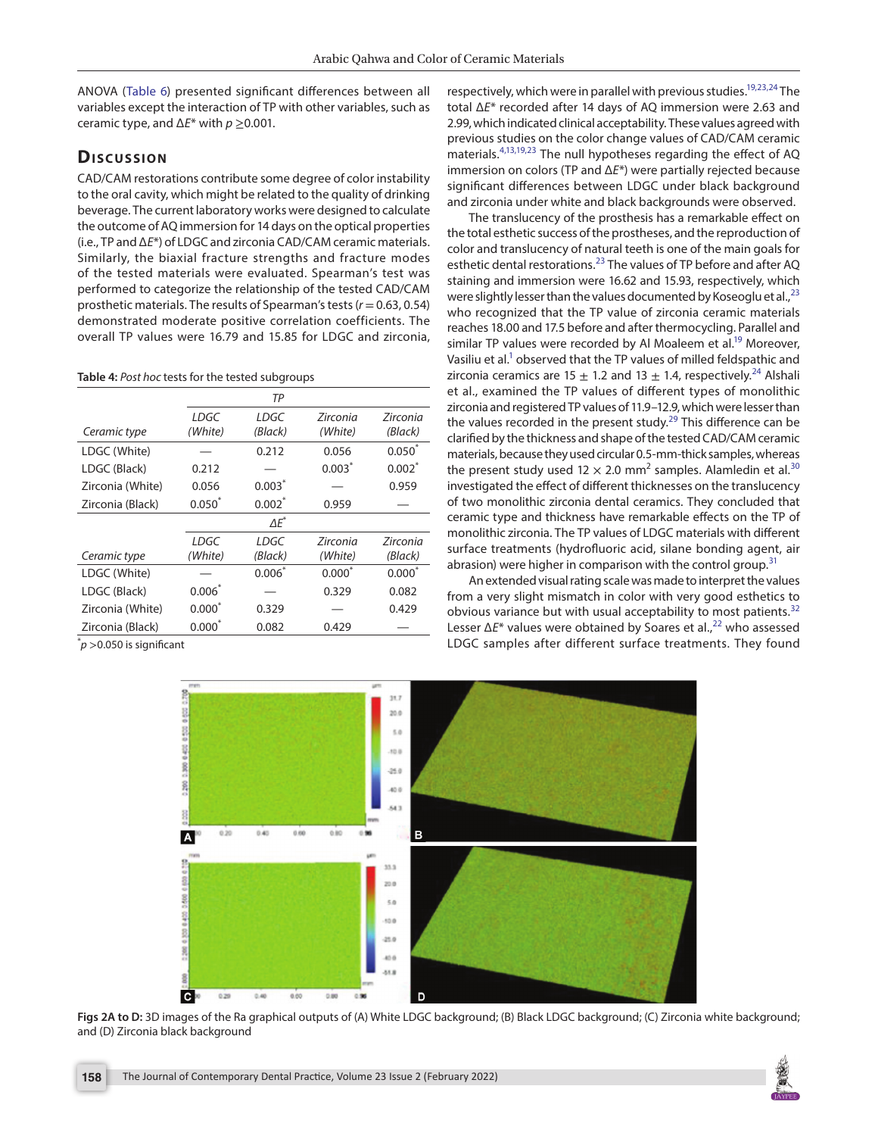ANOVA ([Table 6\)](#page-5-2) presented significant differences between all variables except the interaction of TP with other variables, such as ceramic type, and Δ*E*\* with *p* ≥0.001.

# **Discussion**

CAD/CAM restorations contribute some degree of color instability to the oral cavity, which might be related to the quality of drinking beverage. The current laboratory works were designed to calculate the outcome of AQ immersion for 14 days on the optical properties (i.e., TP and Δ*E*\*) of LDGC and zirconia CAD/CAM ceramic materials. Similarly, the biaxial fracture strengths and fracture modes of the tested materials were evaluated. Spearman's test was performed to categorize the relationship of the tested CAD/CAM prosthetic materials. The results of Spearman's tests (*r* = 0.63, 0.54) demonstrated moderate positive correlation coefficients. The overall TP values were 16.79 and 15.85 for LDGC and zirconia,

#### <span id="page-4-0"></span>**Table 4:** *Post hoc* tests for the tested subgroups

|                  |           | TP           |                 |             |
|------------------|-----------|--------------|-----------------|-------------|
|                  | LDGC      | LDGC         | Zirconia        | Zirconia    |
| Ceramic type     | (White)   | (Black)      | (White)         | (Black)     |
| LDGC (White)     |           | 0.212        | 0.056           | $0.050^{*}$ |
| LDGC (Black)     | 0.212     |              | 0.003"          | $0.002*$    |
| Zirconia (White) | 0.056     | $0.003*$     |                 | 0.959       |
| Zirconia (Black) | $0.050*$  | $0.002*$     | 0.959           |             |
|                  |           | $\Delta E^*$ |                 |             |
|                  | LDGC      | LDGC         | <b>Zirconia</b> | Zirconia    |
| Ceramic type     | (White)   | (Black)      | (White)         | (Black)     |
| LDGC (White)     |           | $0.006^*$    | $0.000^*$       | $0.000*$    |
| LDGC (Black)     | $0.006*$  |              | 0.329           | 0.082       |
| Zirconia (White) | $0.000*$  | 0.329        |                 | 0.429       |
| Zirconia (Black) | $0.000^*$ | 0.082        | 0.429           |             |

 $\check{}p$  >0.050 is significant

respectively, which were in parallel with previous studies.<sup>19,[23,](#page-7-12)24</sup> The total Δ*E*\* recorded after 14 days of AQ immersion were 2.63 and 2.99, which indicated clinical acceptability. These values agreed with previous studies on the color change values of CAD/CAM ceramic materials.[4,](#page-6-3)[13](#page-7-3)[,19](#page-7-18),[23](#page-7-12) The null hypotheses regarding the effect of AQ immersion on colors (TP and Δ*E*\*) were partially rejected because significant differences between LDGC under black background and zirconia under white and black backgrounds were observed.

The translucency of the prosthesis has a remarkable effect on the total esthetic success of the prostheses, and the reproduction of color and translucency of natural teeth is one of the main goals for esthetic dental restorations.<sup>[23](#page-7-12)</sup> The values of TP before and after AQ staining and immersion were 16.62 and 15.93, respectively, which were slightly lesser than the values documented by Koseoglu et al.,  $^{23}$  $^{23}$  $^{23}$ who recognized that the TP value of zirconia ceramic materials reaches 18.00 and 17.5 before and after thermocycling. Parallel and similar TP values were recorded by Al Moaleem et al.<sup>19</sup> Moreover, Vasiliu et al.<sup>1</sup> observed that the TP values of milled feldspathic and zirconia ceramics are 15  $\pm$  1.2 and 13  $\pm$  1.4, respectively.<sup>24</sup> Alshali et al., examined the TP values of different types of monolithic zirconia and registered TP values of 11.9–12.9, which were lesser than the values recorded in the present study.<sup>29</sup> This difference can be clarified by the thickness and shape of the tested CAD/CAM ceramic materials, because they used circular 0.5-mm-thick samples, whereas the present study used 12  $\times$  2.0 mm<sup>2</sup> samples. Alamledin et al.<sup>[30](#page-7-20)</sup> investigated the effect of different thicknesses on the translucency of two monolithic zirconia dental ceramics. They concluded that ceramic type and thickness have remarkable effects on the TP of monolithic zirconia. The TP values of LDGC materials with different surface treatments (hydrofluoric acid, silane bonding agent, air abrasion) were higher in comparison with the control group.<sup>[31](#page-7-21)</sup>

An extended visual rating scale was made to interpret the values from a very slight mismatch in color with very good esthetics to obvious variance but with usual acceptability to most patients.<sup>[32](#page-7-22)</sup> Lesser Δ*E*\* values were obtained by Soares et al.,<sup>22</sup> who assessed LDGC samples after different surface treatments. They found



<span id="page-4-1"></span>Figs 2A to D: 3D images of the Ra graphical outputs of (A) White LDGC background; (B) Black LDGC background; (C) Zirconia white background; and (D) Zirconia black background

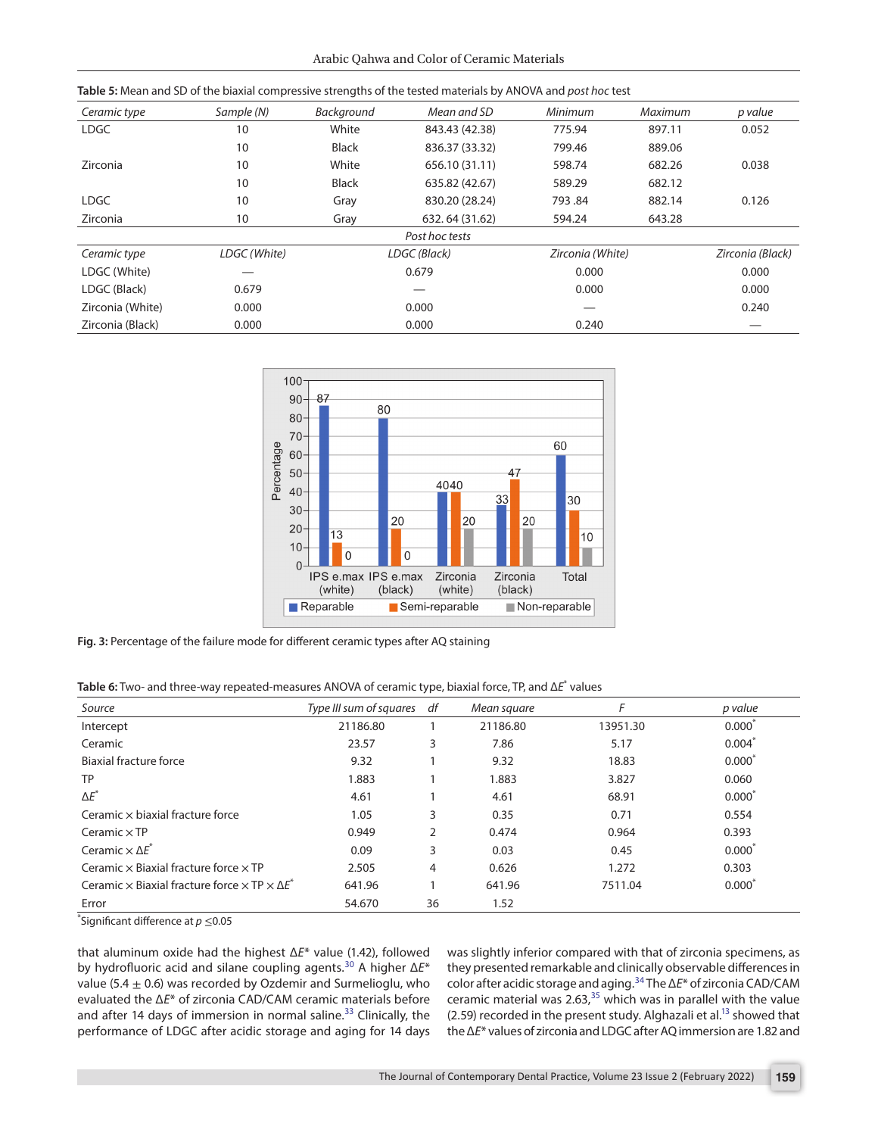<span id="page-5-0"></span>

| Ceramic type     | Sample (N)   | Background   | Mean and SD    | Minimum          | Maximum | p value          |
|------------------|--------------|--------------|----------------|------------------|---------|------------------|
| <b>LDGC</b>      | 10           | White        | 843.43 (42.38) | 775.94           | 897.11  | 0.052            |
|                  | 10           | <b>Black</b> | 836.37 (33.32) | 799.46           | 889.06  |                  |
| Zirconia         | 10           | White        | 656.10 (31.11) | 598.74           | 682.26  | 0.038            |
|                  | 10           | <b>Black</b> | 635.82 (42.67) | 589.29           | 682.12  |                  |
| <b>LDGC</b>      | 10           | Gray         | 830.20 (28.24) | 793.84           | 882.14  | 0.126            |
| Zirconia         | 10           | Gray         | 632.64 (31.62) | 594.24           | 643.28  |                  |
|                  |              |              | Post hoc tests |                  |         |                  |
| Ceramic type     | LDGC (White) | LDGC (Black) |                | Zirconia (White) |         | Zirconia (Black) |
| LDGC (White)     |              | 0.679        |                | 0.000            |         | 0.000            |
| LDGC (Black)     | 0.679        |              |                | 0.000            |         | 0.000            |
| Zirconia (White) | 0.000        | 0.000        |                |                  |         | 0.240            |
| Zirconia (Black) | 0.000        | 0.000        |                | 0.240            |         |                  |



<span id="page-5-1"></span>**Fig. 3:** Percentage of the failure mode for different ceramic types after AQ staining

<span id="page-5-2"></span>**Table 6:** Two- and three-way repeated-measures ANOVA of ceramic type, biaxial force, TP, and Δ*E*\* values

| Source                                                                       | Type III sum of squares | df             | Mean square | F        | p value         |
|------------------------------------------------------------------------------|-------------------------|----------------|-------------|----------|-----------------|
| Intercept                                                                    | 21186.80                |                | 21186.80    | 13951.30 | 0.000           |
| Ceramic                                                                      | 23.57                   | 3              | 7.86        | 5.17     | $0.004^*$       |
| Biaxial fracture force                                                       | 9.32                    |                | 9.32        | 18.83    | $0.000*$        |
| TP                                                                           | 1.883                   |                | 1.883       | 3.827    | 0.060           |
| $\Delta E^*$                                                                 | 4.61                    |                | 4.61        | 68.91    | $0.000^*$       |
| Ceramic $\times$ biaxial fracture force                                      | 1.05                    | 3              | 0.35        | 0.71     | 0.554           |
| Ceramic $\times$ TP                                                          | 0.949                   | $\overline{2}$ | 0.474       | 0.964    | 0.393           |
| Ceramic $\times \Delta E^*$                                                  | 0.09                    | 3              | 0.03        | 0.45     | $0.000^*$       |
| Ceramic $\times$ Biaxial fracture force $\times$ TP                          | 2.505                   | 4              | 0.626       | 1.272    | 0.303           |
| Ceramic $\times$ Biaxial fracture force $\times$ TP $\times$ AF <sup>*</sup> | 641.96                  |                | 641.96      | 7511.04  | $0.000^{\circ}$ |
| Error                                                                        | 54.670                  | 36             | 1.52        |          |                 |

\* Significant difference at *p* ≤0.05

that aluminum oxide had the highest Δ*E*\* value (1.42), followed by hydrofluoric acid and silane coupling agents.[30](#page-7-20) A higher Δ*E*\* value (5.4  $\pm$  0.6) was recorded by Ozdemir and Surmelioglu, who evaluated the Δ*E*\* of zirconia CAD/CAM ceramic materials before and after 14 days of immersion in normal saline.<sup>33</sup> Clinically, the performance of LDGC after acidic storage and aging for 14 days

was slightly inferior compared with that of zirconia specimens, as they presented remarkable and clinically observable differences in color after acidic storage and aging.[34](#page-7-24) The Δ*E*\* of zirconia CAD/CAM ceramic material was 2.63, $35$  which was in parallel with the value  $(2.59)$  recorded in the present study. Alghazali et al.<sup>13</sup> showed that the Δ*E*\* values of zirconia and LDGC after AQ immersion are 1.82 and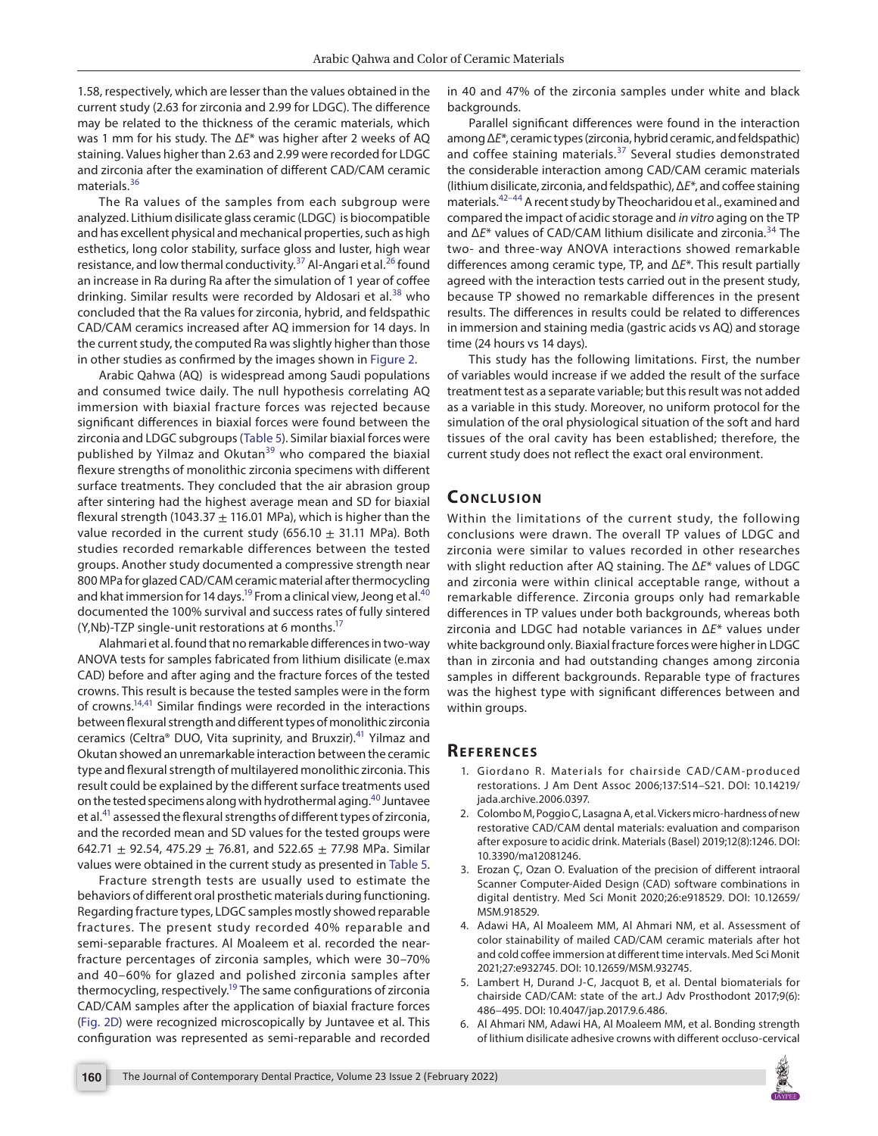1.58, respectively, which are lesser than the values obtained in the current study (2.63 for zirconia and 2.99 for LDGC). The difference may be related to the thickness of the ceramic materials, which was 1 mm for his study. The Δ*E*\* was higher after 2 weeks of AQ staining. Values higher than 2.63 and 2.99 were recorded for LDGC and zirconia after the examination of different CAD/CAM ceramic materials.[36](#page-7-26)

The Ra values of the samples from each subgroup were analyzed. Lithium disilicate glass ceramic (LDGC) is biocompatible and has excellent physical and mechanical properties, such as high esthetics, long color stability, surface gloss and luster, high wear resistance, and low thermal conductivity.<sup>[37](#page-7-27)</sup> Al-Angari et al.<sup>26</sup> found an increase in Ra during Ra after the simulation of 1 year of coffee drinking. Similar results were recorded by Aldosari et al.<sup>[38](#page-7-28)</sup> who concluded that the Ra values for zirconia, hybrid, and feldspathic CAD/CAM ceramics increased after AQ immersion for 14 days. In the current study, the computed Ra was slightly higher than those in other studies as confirmed by the images shown in [Figure 2](#page-4-1).

Arabic Qahwa (AQ) is widespread among Saudi populations and consumed twice daily. The null hypothesis correlating AQ immersion with biaxial fracture forces was rejected because significant differences in biaxial forces were found between the zirconia and LDGC subgroups ([Table 5\)](#page-5-0). Similar biaxial forces were published by Yilmaz and Okutan<sup>39</sup> who compared the biaxial flexure strengths of monolithic zirconia specimens with different surface treatments. They concluded that the air abrasion group after sintering had the highest average mean and SD for biaxial flexural strength (1043.37  $\pm$  116.01 MPa), which is higher than the value recorded in the current study (656.10  $\pm$  31.11 MPa). Both studies recorded remarkable differences between the tested groups. Another study documented a compressive strength near 800 MPa for glazed CAD/CAM ceramic material after thermocycling and khat immersion for 14 days.<sup>19</sup> From a clinical view, Jeong et al.<sup>40</sup> documented the 100% survival and success rates of fully sintered  $(Y, Nb)$ -TZP single-unit restorations at 6 months.<sup>17</sup>

Alahmari et al. found that no remarkable differences in two-way ANOVA tests for samples fabricated from lithium disilicate (e.max CAD) before and after aging and the fracture forces of the tested crowns. This result is because the tested samples were in the form of crowns.<sup>14,41</sup> Similar findings were recorded in the interactions between flexural strength and different types of monolithic zirconia ceramics (Celtra® DUO, Vita suprinity, and Bruxzir).<sup>41</sup> Yilmaz and Okutan showed an unremarkable interaction between the ceramic type and flexural strength of multilayered monolithic zirconia. This result could be explained by the different surface treatments used on the tested specimens along with hydrothermal aging.<sup>[40](#page-7-30)</sup> Juntavee et al.[41](#page-7-31) assessed the flexural strengths of different types of zirconia, and the recorded mean and SD values for the tested groups were 642.71  $\pm$  92.54, 475.29  $\pm$  76.81, and 522.65  $\pm$  77.98 MPa. Similar values were obtained in the current study as presented in [Table 5](#page-5-0).

Fracture strength tests are usually used to estimate the behaviors of different oral prosthetic materials during functioning. Regarding fracture types, LDGC samples mostly showed reparable fractures. The present study recorded 40% reparable and semi-separable fractures. Al Moaleem et al. recorded the nearfracture percentages of zirconia samples, which were 30–70% and 40–60% for glazed and polished zirconia samples after thermocycling, respectively.<sup>19</sup> The same configurations of zirconia CAD/CAM samples after the application of biaxial fracture forces [\(Fig. 2D\)](#page-4-1) were recognized microscopically by Juntavee et al. This configuration was represented as semi-reparable and recorded

in 40 and 47% of the zirconia samples under white and black backgrounds.

Parallel significant differences were found in the interaction among Δ*E*\*, ceramic types (zirconia, hybrid ceramic, and feldspathic) and coffee staining materials.<sup>37</sup> Several studies demonstrated the considerable interaction among CAD/CAM ceramic materials (lithium disilicate, zirconia, and feldspathic), Δ*E*\*, and coffee staining materials.<sup>42-[44](#page-7-33)</sup> A recent study by Theocharidou et al., examined and compared the impact of acidic storage and *in vitro* aging on the TP and Δ*E*\* values of CAD/CAM lithium disilicate and zirconia.[34](#page-7-24) The two- and three-way ANOVA interactions showed remarkable differences among ceramic type, TP, and Δ*E*\*. This result partially agreed with the interaction tests carried out in the present study, because TP showed no remarkable differences in the present results. The differences in results could be related to differences in immersion and staining media (gastric acids vs AQ) and storage time (24 hours vs 14 days).

This study has the following limitations. First, the number of variables would increase if we added the result of the surface treatment test as a separate variable; but this result was not added as a variable in this study. Moreover, no uniform protocol for the simulation of the oral physiological situation of the soft and hard tissues of the oral cavity has been established; therefore, the current study does not reflect the exact oral environment.

# **CONCLUSION**

Within the limitations of the current study, the following conclusions were drawn. The overall TP values of LDGC and zirconia were similar to values recorded in other researches with slight reduction after AQ staining. The Δ*E*\* values of LDGC and zirconia were within clinical acceptable range, without a remarkable difference. Zirconia groups only had remarkable differences in TP values under both backgrounds, whereas both zirconia and LDGC had notable variances in Δ*E*\* values under white background only. Biaxial fracture forces were higher in LDGC than in zirconia and had outstanding changes among zirconia samples in different backgrounds. Reparable type of fractures was the highest type with significant differences between and within groups.

# **Re f e r e n c e s**

- <span id="page-6-0"></span>1. Giordano R. Materials for chairside CAD/CAM-produced restorations. J Am Dent Assoc 2006;137:S14–S21. DOI: 10.14219/ jada.archive.2006.0397.
- <span id="page-6-1"></span>2. Colombo M, Poggio C, Lasagna A, et al. Vickers micro-hardness of new restorative CAD/CAM dental materials: evaluation and comparison after exposure to acidic drink. Materials (Basel) 2019;12(8):1246. DOI: 10.3390/ma12081246.
- <span id="page-6-2"></span>3. Erozan Ç, Ozan O. Evaluation of the precision of different intraoral Scanner Computer-Aided Design (CAD) software combinations in digital dentistry. Med Sci Monit 2020;26:e918529. DOI: 10.12659/ MSM.918529.
- <span id="page-6-3"></span>4. Adawi HA, Al Moaleem MM, Al Ahmari NM, et al. Assessment of color stainability of mailed CAD/CAM ceramic materials after hot and cold coffee immersion at different time intervals. Med Sci Monit 2021;27:e932745. DOI: 10.12659/MSM.932745.
- <span id="page-6-4"></span>5. Lambert H, Durand J-C, Jacquot B, et al. Dental biomaterials for chairside CAD/CAM: state of the art.J Adv Prosthodont 2017;9(6): 486–495. DOI: 10.4047/jap.2017.9.6.486.
- <span id="page-6-5"></span>6. Al Ahmari NM, Adawi HA, Al Moaleem MM, et al. Bonding strength of lithium disilicate adhesive crowns with different occluso-cervical